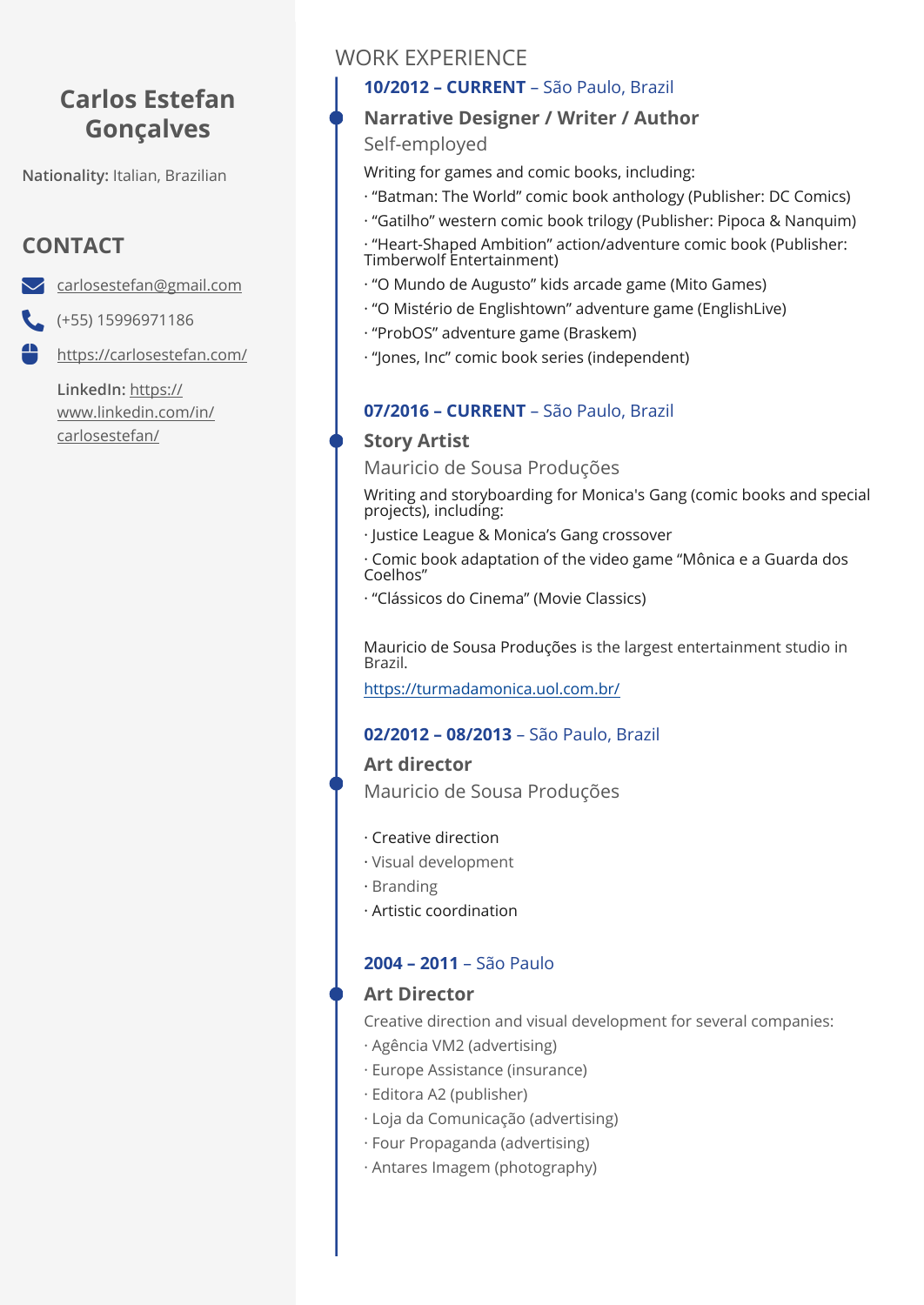# **Carlos Estefan Gonçalves**

**Nationality:** Italian, Brazilian

# **CONTACT**

[carlosestefan@gmail.com](mailto:carlosestefan@gmail.com)

 $( +55) 15996971186$ 

<https://carlosestefan.com/>

**LinkedIn:** [https://](https://www.linkedin.com/in/carlosestefan/) [www.linkedin.com/in/](https://www.linkedin.com/in/carlosestefan/) [carlosestefan/](https://www.linkedin.com/in/carlosestefan/)

# WORK EXPERIENCE

## **10/2012 – CURRENT** – São Paulo, Brazil

## **Narrative Designer / Writer / Author**

## Self-employed

Writing for games and comic books, including:

- · "Batman: The World" comic book anthology (Publisher: DC Comics)
- · "Gatilho" western comic book trilogy (Publisher: Pipoca & Nanquim) · "Heart-Shaped Ambition" action/adventure comic book (Publisher:
- Timberwolf Entertainment)
- · "O Mundo de Augusto" kids arcade game (Mito Games)
- · "O Mistério de Englishtown" adventure game (EnglishLive)
- · "ProbOS" adventure game (Braskem)
- · "Jones, Inc" comic book series (independent)

## **07/2016 – CURRENT** – São Paulo, Brazil

# **Story Artist**

Mauricio de Sousa Produções

Writing and storyboarding for Monica's Gang (comic books and special projects), including:

· Justice League & Monica's Gang crossover

· Comic book adaptation of the video game "Mônica e a Guarda dos Coelhos"

· "Clássicos do Cinema" (Movie Classics)

Mauricio de Sousa Produções is the largest entertainment studio in Brazil.

<https://turmadamonica.uol.com.br/>

## **02/2012 – 08/2013** – São Paulo, Brazil

**Art director**  Mauricio de Sousa Produções

- · Creative direction
- · Visual development
- · Branding
- · Artistic coordination

# **2004 – 2011** – São Paulo

## **Art Director**

Creative direction and visual development for several companies:

- · Agência VM2 (advertising)
- · Europe Assistance (insurance)
- · Editora A2 (publisher)
- · Loja da Comunicação (advertising)
- · Four Propaganda (advertising)
- · Antares Imagem (photography)